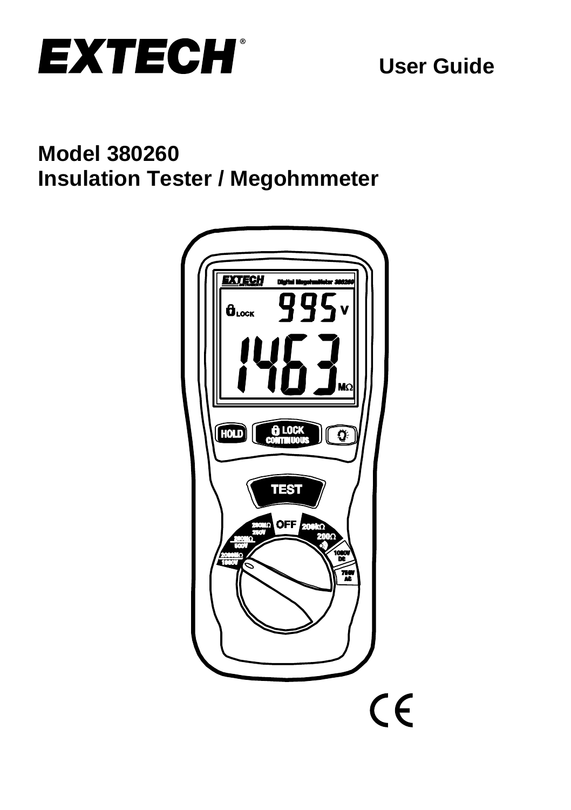

# **Model 380260 Insulation Tester / Megohmmeter**

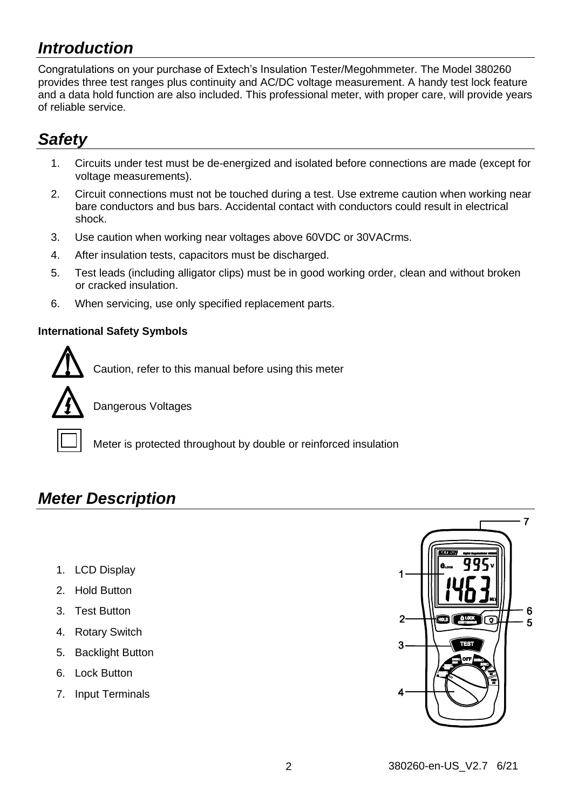## *Introduction*

Congratulations on your purchase of Extech's Insulation Tester/Megohmmeter. The Model 380260 provides three test ranges plus continuity and AC/DC voltage measurement. A handy test lock feature and a data hold function are also included. This professional meter, with proper care, will provide years of reliable service.

## *Safety*

- 1. Circuits under test must be de-energized and isolated before connections are made (except for voltage measurements).
- 2. Circuit connections must not be touched during a test. Use extreme caution when working near bare conductors and bus bars. Accidental contact with conductors could result in electrical shock.
- 3. Use caution when working near voltages above 60VDC or 30VACrms.
- 4. After insulation tests, capacitors must be discharged.
- 5. Test leads (including alligator clips) must be in good working order, clean and without broken or cracked insulation.
- 6. When servicing, use only specified replacement parts.

#### **International Safety Symbols**



Caution, refer to this manual before using this meter



Dangerous Voltages

Meter is protected throughout by double or reinforced insulation

## *Meter Description*

- 1. LCD Display
- 2. Hold Button
- 3. Test Button
- 4. Rotary Switch
- 5. Backlight Button
- 6. Lock Button
- 7. Input Terminals

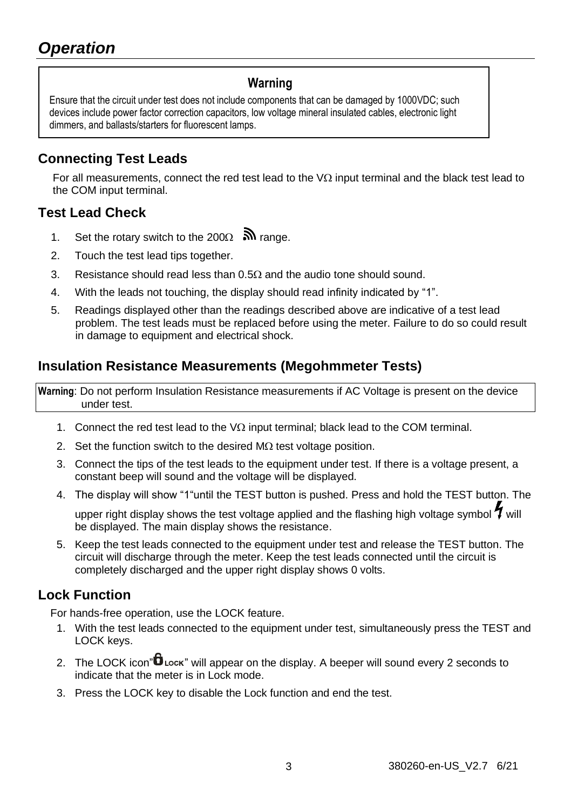### **Warning**

Ensure that the circuit under test does not include components that can be damaged by 1000VDC; such devices include power factor correction capacitors, low voltage mineral insulated cables, electronic light dimmers, and ballasts/starters for fluorescent lamps.

### **Connecting Test Leads**

For all measurements, connect the red test lead to the  $V\Omega$  input terminal and the black test lead to the COM input terminal.

### **Test Lead Check**

- 1. Set the rotary switch to the 200 $\Omega$   $\mathbb{R}$  range.
- 2. Touch the test lead tips together.
- 3. Resistance should read less than  $0.5\Omega$  and the audio tone should sound.
- 4. With the leads not touching, the display should read infinity indicated by "1".
- 5. Readings displayed other than the readings described above are indicative of a test lead problem. The test leads must be replaced before using the meter. Failure to do so could result in damage to equipment and electrical shock.

### **Insulation Resistance Measurements (Megohmmeter Tests)**

**Warning**: Do not perform Insulation Resistance measurements if AC Voltage is present on the device under test.

- 1. Connect the red test lead to the  $V\Omega$  input terminal; black lead to the COM terminal.
- 2. Set the function switch to the desired  $M\Omega$  test voltage position.
- 3. Connect the tips of the test leads to the equipment under test. If there is a voltage present, a constant beep will sound and the voltage will be displayed.
- 4. The display will show "1"until the TEST button is pushed. Press and hold the TEST button. The

upper right display shows the test voltage applied and the flashing high voltage symbol  $\tilde{\textbf{Y}}$  will be displayed. The main display shows the resistance.

5. Keep the test leads connected to the equipment under test and release the TEST button. The circuit will discharge through the meter. Keep the test leads connected until the circuit is completely discharged and the upper right display shows 0 volts.

### **Lock Function**

For hands-free operation, use the LOCK feature.

- 1. With the test leads connected to the equipment under test, simultaneously press the TEST and LOCK keys.
- 2. The LOCK icon" $\mathbf{D}$  Lock" will appear on the display. A beeper will sound every 2 seconds to indicate that the meter is in Lock mode.
- 3. Press the LOCK key to disable the Lock function and end the test.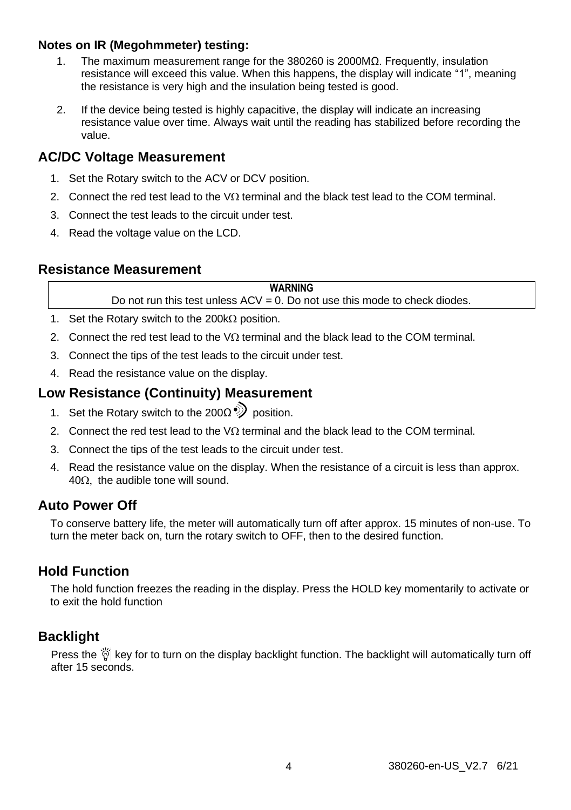#### **Notes on IR (Megohmmeter) testing:**

- 1. The maximum measurement range for the 380260 is 2000MΩ. Frequently, insulation resistance will exceed this value. When this happens, the display will indicate "1", meaning the resistance is very high and the insulation being tested is good.
- 2. If the device being tested is highly capacitive, the display will indicate an increasing resistance value over time. Always wait until the reading has stabilized before recording the value.

#### **AC/DC Voltage Measurement**

- 1. Set the Rotary switch to the ACV or DCV position.
- 2. Connect the red test lead to the  $\sqrt{\Omega}$  terminal and the black test lead to the COM terminal.
- 3. Connect the test leads to the circuit under test.
- 4. Read the voltage value on the LCD.

#### **Resistance Measurement**

| <b>WARNING</b>                                                                |
|-------------------------------------------------------------------------------|
| Do not run this test unless $ACV = 0$ . Do not use this mode to check diodes. |

- 1. Set the Rotary switch to the 200k $\Omega$  position.
- 2. Connect the red test lead to the  $V\Omega$  terminal and the black lead to the COM terminal.
- 3. Connect the tips of the test leads to the circuit under test.
- 4. Read the resistance value on the display.

#### **Low Resistance (Continuity) Measurement**

- 1. Set the Rotary switch to the 200 $\Omega$ <sup>o</sup>) position.
- 2. Connect the red test lead to the  $\sqrt{\Omega}$  terminal and the black lead to the COM terminal.
- 3. Connect the tips of the test leads to the circuit under test.
- 4. Read the resistance value on the display. When the resistance of a circuit is less than approx.  $40\Omega$ , the audible tone will sound.

### **Auto Power Off**

To conserve battery life, the meter will automatically turn off after approx. 15 minutes of non-use. To turn the meter back on, turn the rotary switch to OFF, then to the desired function.

#### **Hold Function**

The hold function freezes the reading in the display. Press the HOLD key momentarily to activate or to exit the hold function

#### **Backlight**

Press the  $\breve{\nabla}$  key for to turn on the display backlight function. The backlight will automatically turn off after 15 seconds.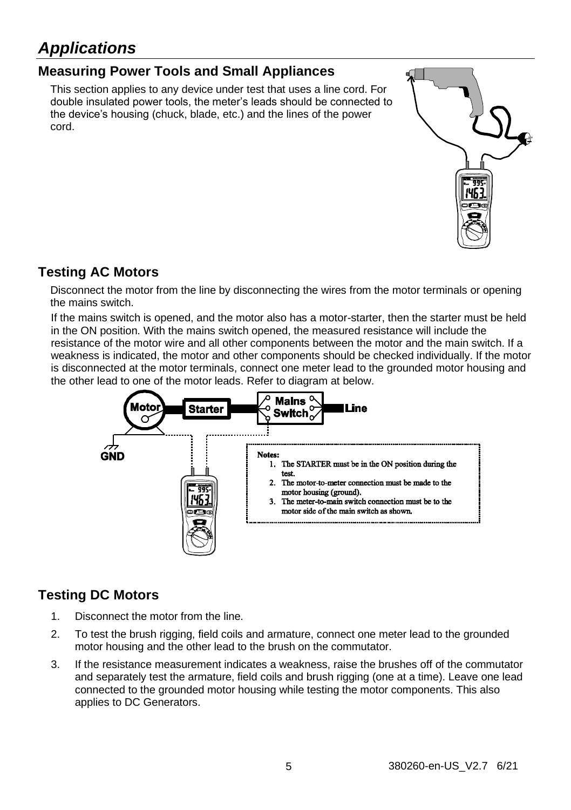## *Applications*

## **Measuring Power Tools and Small Appliances**

This section applies to any device under test that uses a line cord. For double insulated power tools, the meter's leads should be connected to the device's housing (chuck, blade, etc.) and the lines of the power cord.



### **Testing AC Motors**

Disconnect the motor from the line by disconnecting the wires from the motor terminals or opening the mains switch.

If the mains switch is opened, and the motor also has a motor-starter, then the starter must be held in the ON position. With the mains switch opened, the measured resistance will include the resistance of the motor wire and all other components between the motor and the main switch. If a weakness is indicated, the motor and other components should be checked individually. If the motor is disconnected at the motor terminals, connect one meter lead to the grounded motor housing and the other lead to one of the motor leads. Refer to diagram at below.



## **Testing DC Motors**

- 1. Disconnect the motor from the line.
- 2. To test the brush rigging, field coils and armature, connect one meter lead to the grounded motor housing and the other lead to the brush on the commutator.
- 3. If the resistance measurement indicates a weakness, raise the brushes off of the commutator and separately test the armature, field coils and brush rigging (one at a time). Leave one lead connected to the grounded motor housing while testing the motor components. This also applies to DC Generators.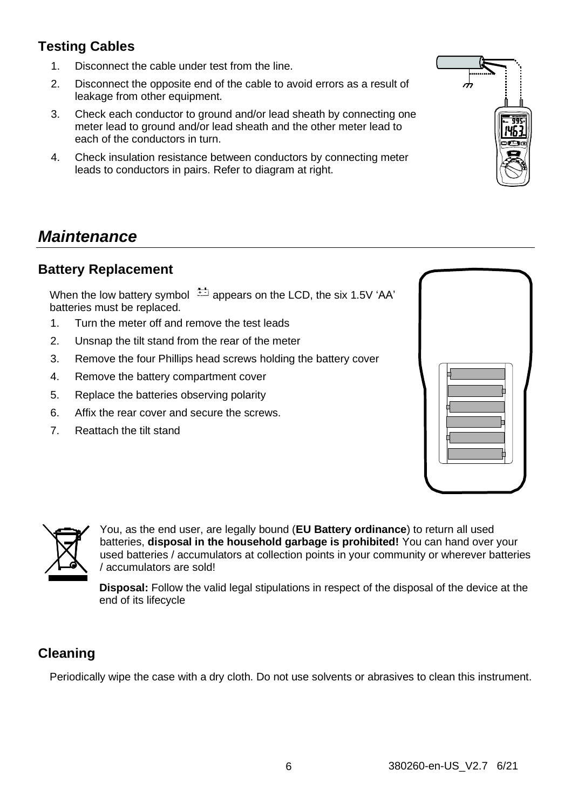## **Testing Cables**

- 1. Disconnect the cable under test from the line.
- 2. Disconnect the opposite end of the cable to avoid errors as a result of leakage from other equipment.
- 3. Check each conductor to ground and/or lead sheath by connecting one meter lead to ground and/or lead sheath and the other meter lead to each of the conductors in turn.
- 4. Check insulation resistance between conductors by connecting meter leads to conductors in pairs. Refer to diagram at right.

## *Maintenance*

### **Battery Replacement**

When the low battery symbol  $\stackrel{\text{def}}{=}$  appears on the LCD, the six 1.5V 'AA' batteries must be replaced.

- 1. Turn the meter off and remove the test leads
- 2. Unsnap the tilt stand from the rear of the meter
- 3. Remove the four Phillips head screws holding the battery cover
- 4. Remove the battery compartment cover
- 5. Replace the batteries observing polarity
- 6. Affix the rear cover and secure the screws.
- 7. Reattach the tilt stand



**Disposal:** Follow the valid legal stipulations in respect of the disposal of the device at the end of its lifecycle

## **Cleaning**

Periodically wipe the case with a dry cloth. Do not use solvents or abrasives to clean this instrument.



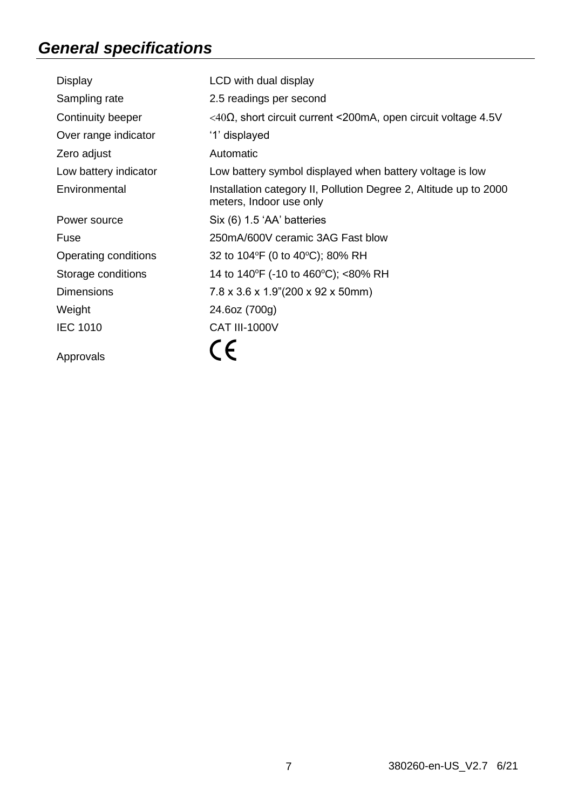## *General specifications*

| Display               | LCD with dual display                                                                        |
|-----------------------|----------------------------------------------------------------------------------------------|
| Sampling rate         | 2.5 readings per second                                                                      |
| Continuity beeper     | $<$ 40Ω, short circuit current <200mA, open circuit voltage 4.5V                             |
| Over range indicator  | '1' displayed                                                                                |
| Zero adjust           | Automatic                                                                                    |
| Low battery indicator | Low battery symbol displayed when battery voltage is low                                     |
| Environmental         | Installation category II, Pollution Degree 2, Altitude up to 2000<br>meters, Indoor use only |
| Power source          | Six (6) 1.5 'AA' batteries                                                                   |
| Fuse                  | 250mA/600V ceramic 3AG Fast blow                                                             |
| Operating conditions  | 32 to 104°F (0 to 40°C); 80% RH                                                              |
| Storage conditions    | 14 to 140°F (-10 to 460°C); <80% RH                                                          |
| <b>Dimensions</b>     | 7.8 x 3.6 x 1.9"(200 x 92 x 50mm)                                                            |
| Weight                | 24.6oz (700g)                                                                                |
| <b>IEC 1010</b>       | <b>CAT III-1000V</b>                                                                         |
| Approvals             |                                                                                              |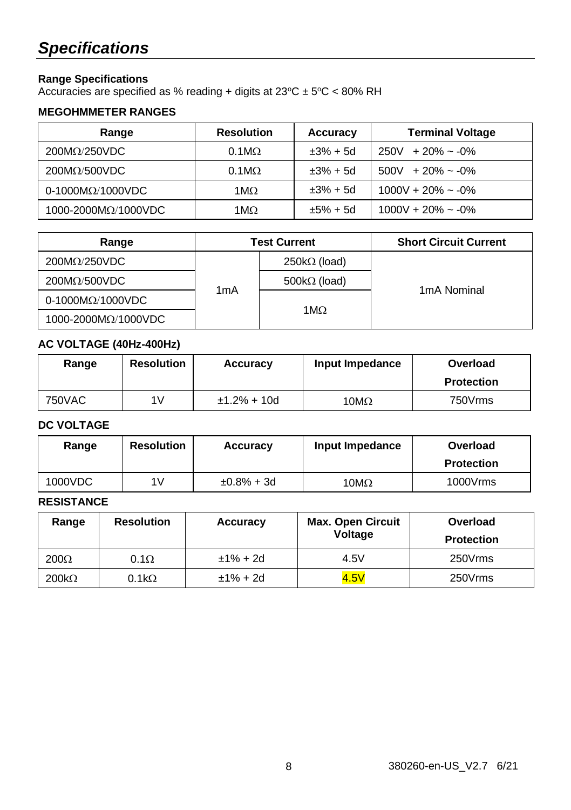## *Specifications*

#### **Range Specifications**

Accuracies are specified as % reading + digits at 23°C ± 5°C < 80% RH

#### **MEGOHMMETER RANGES**

| Range                       | <b>Resolution</b>    | Accuracy   | <b>Terminal Voltage</b>  |
|-----------------------------|----------------------|------------|--------------------------|
| $200M\Omega/250VDC$         | $0.1 \text{M}\Omega$ | $±3% + 5d$ | $250V + 20\% \sim -0\%$  |
| $200M\Omega/500VDC$         | $0.1 \text{M}\Omega$ | $±3% + 5d$ | $500V + 20\% \sim -0\%$  |
| $0-1000M\Omega/1000VDC$     | $1 \text{M}\Omega$   | $±3% + 5d$ | $1000V + 20\% \sim -0\%$ |
| 1000-2000 $M\Omega/1000VDC$ | 1ΜΩ                  | $±5% + 5d$ | $1000V + 20\% \sim -0\%$ |

| Range                   | <b>Test Current</b> |                     | <b>Short Circuit Current</b> |
|-------------------------|---------------------|---------------------|------------------------------|
| $200M\Omega/250VDC$     |                     | $250k\Omega$ (load) |                              |
| $200M\Omega/500VDC$     |                     | $500k\Omega$ (load) |                              |
| $0-1000M\Omega/1000VDC$ | 1mA                 |                     | 1 <sub>m</sub> A Nominal     |
| 1000-2000ΜΩ/1000VDC     |                     | 1ΜΩ                 |                              |

#### **AC VOLTAGE (40Hz-400Hz)**

| Range  | <b>Resolution</b> | Accuracy      | Input Impedance | Overload<br><b>Protection</b> |
|--------|-------------------|---------------|-----------------|-------------------------------|
|        |                   |               |                 |                               |
| 750VAC | 1V                | $±1.2% + 10d$ | $10M\Omega$     | 750Vrms                       |

#### **DC VOLTAGE**

| Range   | <b>Resolution</b> | Accuracy      | Input Impedance | Overload<br><b>Protection</b> |
|---------|-------------------|---------------|-----------------|-------------------------------|
| 1000VDC | 1V                | $±0.8\% + 3d$ | $10M\Omega$     | 1000Vrms                      |

#### **RESISTANCE**

| Range        | <b>Resolution</b> | Accuracy    | <b>Max. Open Circuit</b><br>Voltage | Overload<br><b>Protection</b> |
|--------------|-------------------|-------------|-------------------------------------|-------------------------------|
| $200\Omega$  | $0.1\Omega$       | $±1\% + 2d$ | 4.5V                                | 250Vrms                       |
| $200k\Omega$ | $0.1k\Omega$      | $±1\% + 2d$ | 4.5V                                | 250Vrms                       |